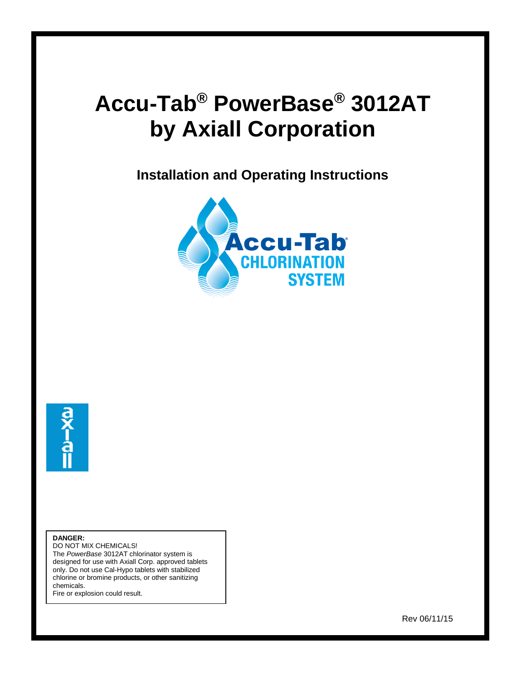# **Accu-Tab® PowerBase® 3012AT by Axiall Corporation**

**Installation and Operating Instructions**





 $\overline{\phantom{a}}$ 

**DANGER:**

DO NOT MIX CHEMICALS! The *PowerBase* 3012AT chlorinator system is designed for use with Axiall Corp. approved tablets only. Do not use Cal-Hypo tablets with stabilized chlorine or bromine products, or other sanitizing chemicals.

Fire or explosion could result.

Rev 06/11/15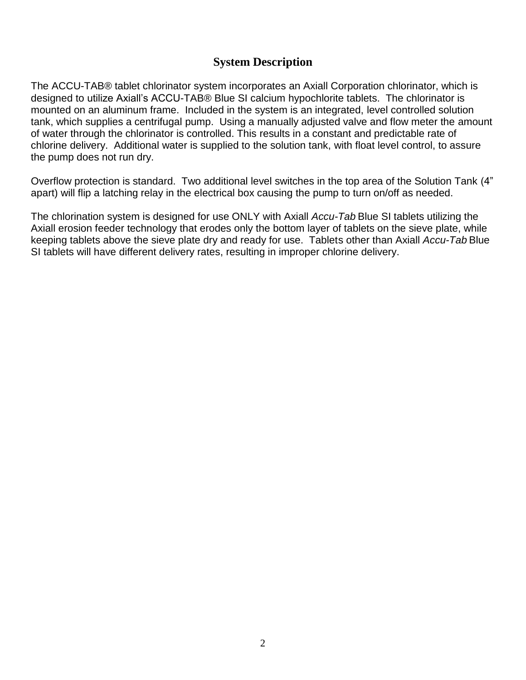#### **System Description**

The ACCU-TAB® tablet chlorinator system incorporates an Axiall Corporation chlorinator, which is designed to utilize Axiall's ACCU-TAB® Blue SI calcium hypochlorite tablets. The chlorinator is mounted on an aluminum frame. Included in the system is an integrated, level controlled solution tank, which supplies a centrifugal pump. Using a manually adjusted valve and flow meter the amount of water through the chlorinator is controlled. This results in a constant and predictable rate of chlorine delivery. Additional water is supplied to the solution tank, with float level control, to assure the pump does not run dry.

Overflow protection is standard. Two additional level switches in the top area of the Solution Tank (4" apart) will flip a latching relay in the electrical box causing the pump to turn on/off as needed.

The chlorination system is designed for use ONLY with Axiall *Accu-Tab* Blue SI tablets utilizing the Axiall erosion feeder technology that erodes only the bottom layer of tablets on the sieve plate, while keeping tablets above the sieve plate dry and ready for use. Tablets other than Axiall *Accu-Tab* Blue SI tablets will have different delivery rates, resulting in improper chlorine delivery.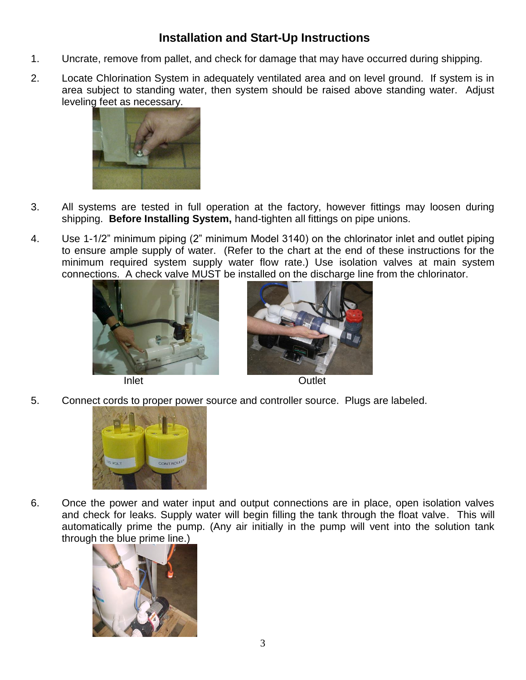### **Installation and Start-Up Instructions**

- 1. Uncrate, remove from pallet, and check for damage that may have occurred during shipping.
- 2. Locate Chlorination System in adequately ventilated area and on level ground. If system is in area subject to standing water, then system should be raised above standing water. Adjust leveling feet as necessary.



- 3. All systems are tested in full operation at the factory, however fittings may loosen during shipping. **Before Installing System,** hand-tighten all fittings on pipe unions.
- 4. Use 1-1/2" minimum piping (2" minimum Model 3140) on the chlorinator inlet and outlet piping to ensure ample supply of water. (Refer to the chart at the end of these instructions for the minimum required system supply water flow rate.) Use isolation valves at main system connections. A check valve MUST be installed on the discharge line from the chlorinator.





Inlet Cutlet

5. Connect cords to proper power source and controller source. Plugs are labeled.



6. Once the power and water input and output connections are in place, open isolation valves and check for leaks. Supply water will begin filling the tank through the float valve. This will automatically prime the pump. (Any air initially in the pump will vent into the solution tank through the blue prime line.)

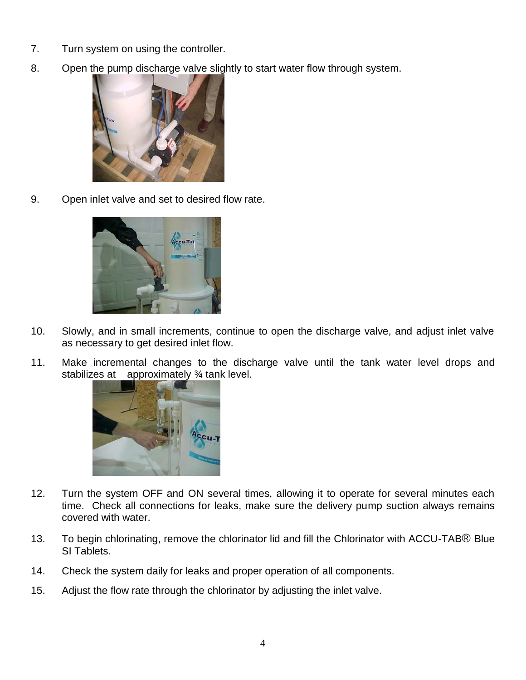- 7. Turn system on using the controller.
- 8. Open the pump discharge valve slightly to start water flow through system.



9. Open inlet valve and set to desired flow rate.



- 10. Slowly, and in small increments, continue to open the discharge valve, and adjust inlet valve as necessary to get desired inlet flow.
- 11. Make incremental changes to the discharge valve until the tank water level drops and stabilizes at approximately ¾ tank level.



- 12. Turn the system OFF and ON several times, allowing it to operate for several minutes each time. Check all connections for leaks, make sure the delivery pump suction always remains covered with water.
- 13. To begin chlorinating, remove the chlorinator lid and fill the Chlorinator with ACCU-TAB® Blue SI Tablets.
- 14. Check the system daily for leaks and proper operation of all components.
- 15. Adjust the flow rate through the chlorinator by adjusting the inlet valve.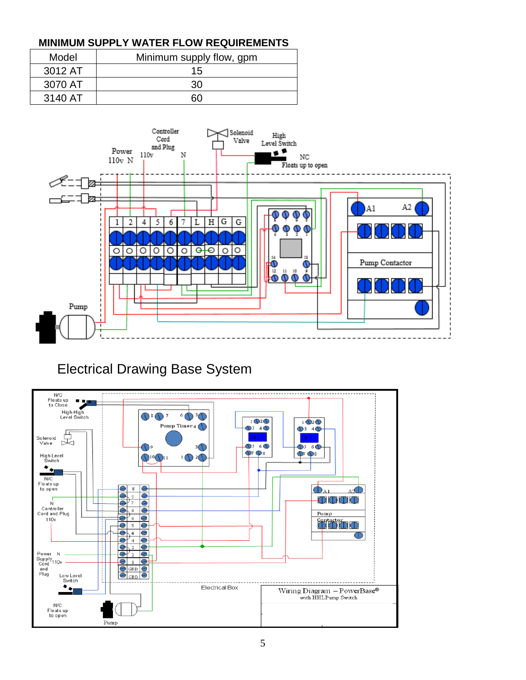#### **MINIMUM SUPPLY WATER FLOW REQUIREMENTS**

| Model   | Minimum supply flow, gpm |
|---------|--------------------------|
| 3012 AT | 15                       |
| 3070 AT | 30                       |
| 3140 AT | 60                       |



## Electrical Drawing Base System

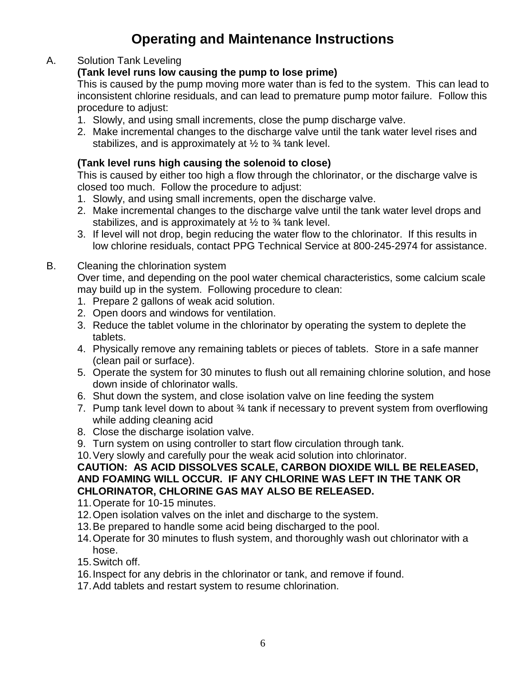## **Operating and Maintenance Instructions**

#### A. Solution Tank Leveling

#### **(Tank level runs low causing the pump to lose prime)**

This is caused by the pump moving more water than is fed to the system. This can lead to inconsistent chlorine residuals, and can lead to premature pump motor failure. Follow this procedure to adjust:

- 1. Slowly, and using small increments, close the pump discharge valve.
- 2. Make incremental changes to the discharge valve until the tank water level rises and stabilizes, and is approximately at  $\frac{1}{2}$  to  $\frac{3}{4}$  tank level.

#### **(Tank level runs high causing the solenoid to close)**

This is caused by either too high a flow through the chlorinator, or the discharge valve is closed too much. Follow the procedure to adjust:

- 1. Slowly, and using small increments, open the discharge valve.
- 2. Make incremental changes to the discharge valve until the tank water level drops and stabilizes, and is approximately at  $\frac{1}{2}$  to  $\frac{3}{4}$  tank level.
- 3. If level will not drop, begin reducing the water flow to the chlorinator. If this results in low chlorine residuals, contact PPG Technical Service at 800-245-2974 for assistance.

#### B. Cleaning the chlorination system

Over time, and depending on the pool water chemical characteristics, some calcium scale may build up in the system. Following procedure to clean:

- 1. Prepare 2 gallons of weak acid solution.
- 2. Open doors and windows for ventilation.
- 3. Reduce the tablet volume in the chlorinator by operating the system to deplete the tablets.
- 4. Physically remove any remaining tablets or pieces of tablets. Store in a safe manner (clean pail or surface).
- 5. Operate the system for 30 minutes to flush out all remaining chlorine solution, and hose down inside of chlorinator walls.
- 6. Shut down the system, and close isolation valve on line feeding the system
- 7. Pump tank level down to about ¾ tank if necessary to prevent system from overflowing while adding cleaning acid
- 8. Close the discharge isolation valve.
- 9. Turn system on using controller to start flow circulation through tank.
- 10.Very slowly and carefully pour the weak acid solution into chlorinator.

#### **CAUTION: AS ACID DISSOLVES SCALE, CARBON DIOXIDE WILL BE RELEASED, AND FOAMING WILL OCCUR. IF ANY CHLORINE WAS LEFT IN THE TANK OR CHLORINATOR, CHLORINE GAS MAY ALSO BE RELEASED.**

- 11.Operate for 10-15 minutes.
- 12.Open isolation valves on the inlet and discharge to the system.
- 13.Be prepared to handle some acid being discharged to the pool.
- 14.Operate for 30 minutes to flush system, and thoroughly wash out chlorinator with a hose.
- 15.Switch off.
- 16.Inspect for any debris in the chlorinator or tank, and remove if found.
- 17.Add tablets and restart system to resume chlorination.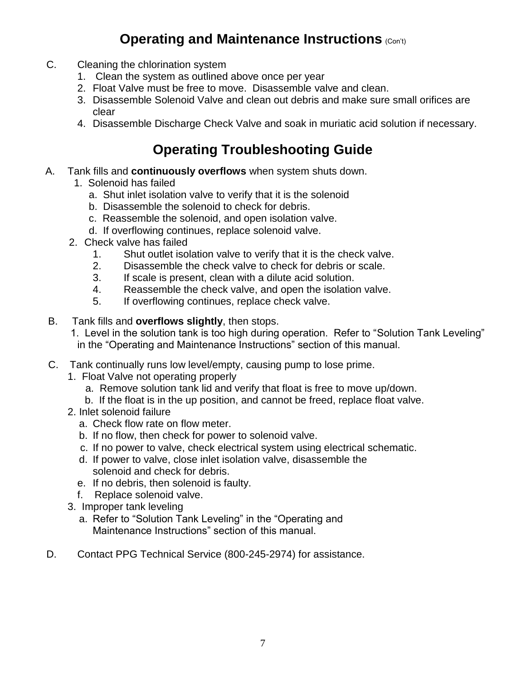## **Operating and Maintenance Instructions (Con't)**

- C. Cleaning the chlorination system
	- 1. Clean the system as outlined above once per year
	- 2. Float Valve must be free to move. Disassemble valve and clean.
	- 3. Disassemble Solenoid Valve and clean out debris and make sure small orifices are clear
	- 4. Disassemble Discharge Check Valve and soak in muriatic acid solution if necessary.

## **Operating Troubleshooting Guide**

- A. Tank fills and **continuously overflows** when system shuts down.
	- 1. Solenoid has failed
		- a. Shut inlet isolation valve to verify that it is the solenoid
		- b. Disassemble the solenoid to check for debris.
		- c. Reassemble the solenoid, and open isolation valve.
		- d. If overflowing continues, replace solenoid valve.
	- 2. Check valve has failed
		- 1. Shut outlet isolation valve to verify that it is the check valve.
		- 2. Disassemble the check valve to check for debris or scale.
		- 3. If scale is present, clean with a dilute acid solution.
		- 4. Reassemble the check valve, and open the isolation valve.
		- 5. If overflowing continues, replace check valve.
- B. Tank fills and **overflows slightly**, then stops.
	- 1. Level in the solution tank is too high during operation. Refer to "Solution Tank Leveling" in the "Operating and Maintenance Instructions" section of this manual.
- C. Tank continually runs low level/empty, causing pump to lose prime.
	- 1. Float Valve not operating properly
		- a. Remove solution tank lid and verify that float is free to move up/down.
		- b. If the float is in the up position, and cannot be freed, replace float valve.
	- 2. Inlet solenoid failure
		- a. Check flow rate on flow meter.
		- b. If no flow, then check for power to solenoid valve.
		- c. If no power to valve, check electrical system using electrical schematic.
		- d. If power to valve, close inlet isolation valve, disassemble the solenoid and check for debris.
		- e. If no debris, then solenoid is faulty.
		- f. Replace solenoid valve.
	- 3. Improper tank leveling
		- a. Refer to "Solution Tank Leveling" in the "Operating and Maintenance Instructions" section of this manual.
- D. Contact PPG Technical Service (800-245-2974) for assistance.